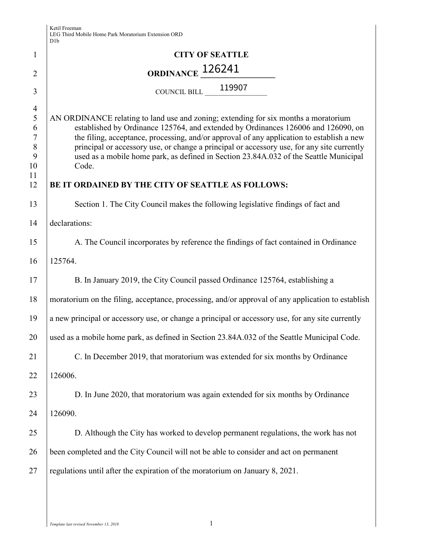|                                                                     | ט גע                                                                                                                                                                                                                                                                                                                                                                                                                                                                                                                       |
|---------------------------------------------------------------------|----------------------------------------------------------------------------------------------------------------------------------------------------------------------------------------------------------------------------------------------------------------------------------------------------------------------------------------------------------------------------------------------------------------------------------------------------------------------------------------------------------------------------|
| $\mathbf{1}$                                                        | <b>CITY OF SEATTLE</b>                                                                                                                                                                                                                                                                                                                                                                                                                                                                                                     |
| $\overline{2}$                                                      | ORDINANCE 126241                                                                                                                                                                                                                                                                                                                                                                                                                                                                                                           |
| 3                                                                   | COUNCIL BILL 119907                                                                                                                                                                                                                                                                                                                                                                                                                                                                                                        |
| $\overline{4}$<br>5<br>6<br>$\tau$<br>$\, 8$<br>9<br>10<br>11<br>12 | AN ORDINANCE relating to land use and zoning; extending for six months a moratorium<br>established by Ordinance 125764, and extended by Ordinances 126006 and 126090, on<br>the filing, acceptance, processing, and/or approval of any application to establish a new<br>principal or accessory use, or change a principal or accessory use, for any site currently<br>used as a mobile home park, as defined in Section 23.84A.032 of the Seattle Municipal<br>Code.<br>BE IT ORDAINED BY THE CITY OF SEATTLE AS FOLLOWS: |
| 13                                                                  | Section 1. The City Council makes the following legislative findings of fact and                                                                                                                                                                                                                                                                                                                                                                                                                                           |
| 14                                                                  | declarations:                                                                                                                                                                                                                                                                                                                                                                                                                                                                                                              |
| 15                                                                  | A. The Council incorporates by reference the findings of fact contained in Ordinance                                                                                                                                                                                                                                                                                                                                                                                                                                       |
| 16                                                                  | 125764.                                                                                                                                                                                                                                                                                                                                                                                                                                                                                                                    |
| 17                                                                  | B. In January 2019, the City Council passed Ordinance 125764, establishing a                                                                                                                                                                                                                                                                                                                                                                                                                                               |
| 18                                                                  | moratorium on the filing, acceptance, processing, and/or approval of any application to establish                                                                                                                                                                                                                                                                                                                                                                                                                          |
| 19                                                                  | a new principal or accessory use, or change a principal or accessory use, for any site currently                                                                                                                                                                                                                                                                                                                                                                                                                           |
| 20                                                                  | used as a mobile home park, as defined in Section 23.84A.032 of the Seattle Municipal Code.                                                                                                                                                                                                                                                                                                                                                                                                                                |
| 21                                                                  | C. In December 2019, that moratorium was extended for six months by Ordinance                                                                                                                                                                                                                                                                                                                                                                                                                                              |
| 22                                                                  | 126006.                                                                                                                                                                                                                                                                                                                                                                                                                                                                                                                    |
| 23                                                                  | D. In June 2020, that moratorium was again extended for six months by Ordinance                                                                                                                                                                                                                                                                                                                                                                                                                                            |
| 24                                                                  | 126090.                                                                                                                                                                                                                                                                                                                                                                                                                                                                                                                    |
| 25                                                                  | D. Although the City has worked to develop permanent regulations, the work has not                                                                                                                                                                                                                                                                                                                                                                                                                                         |
| 26                                                                  | been completed and the City Council will not be able to consider and act on permanent                                                                                                                                                                                                                                                                                                                                                                                                                                      |
| 27                                                                  | regulations until after the expiration of the moratorium on January 8, 2021.                                                                                                                                                                                                                                                                                                                                                                                                                                               |
|                                                                     |                                                                                                                                                                                                                                                                                                                                                                                                                                                                                                                            |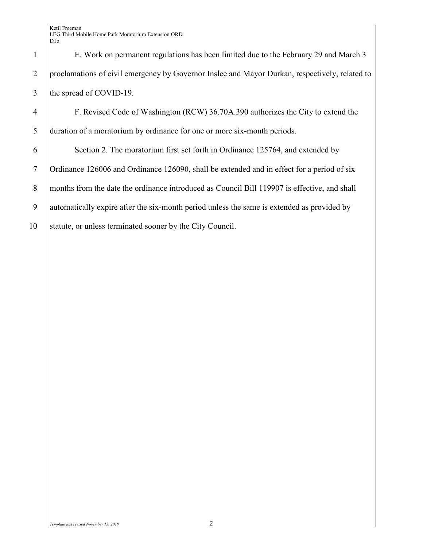1 E. Work on permanent regulations has been limited due to the February 29 and March 3 2 proclamations of civil emergency by Governor Inslee and Mayor Durkan, respectively, related to 3 the spread of COVID-19.

4 F. Revised Code of Washington (RCW) 36.70A.390 authorizes the City to extend the 5 duration of a moratorium by ordinance for one or more six-month periods.

6 Section 2. The moratorium first set forth in Ordinance 125764, and extended by 7 Ordinance 126006 and Ordinance 126090, shall be extended and in effect for a period of six 8 months from the date the ordinance introduced as Council Bill 119907 is effective, and shall 9 automatically expire after the six-month period unless the same is extended as provided by 10 Statute, or unless terminated sooner by the City Council.